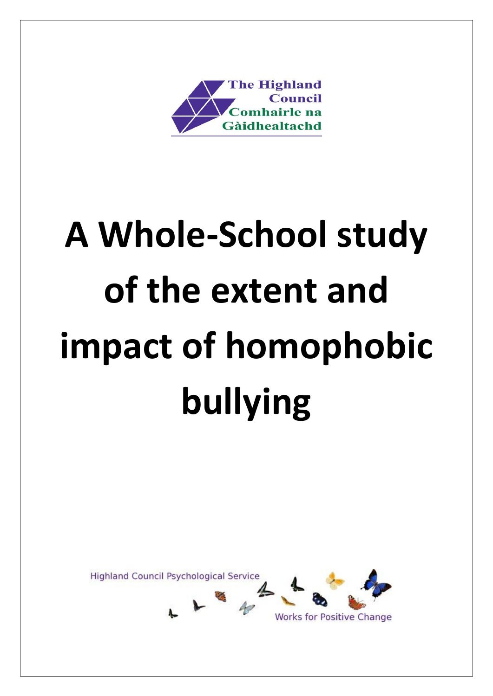

# **A Whole-School study of the extent and impact of homophobic bullying**

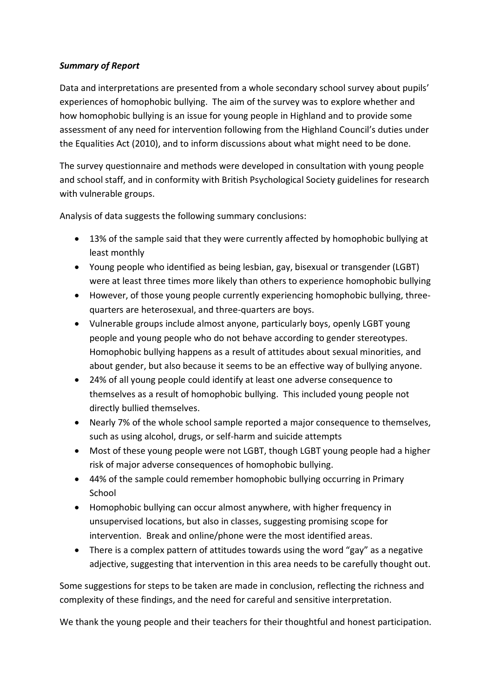# *Summary of Report*

Data and interpretations are presented from a whole secondary school survey about pupils' experiences of homophobic bullying. The aim of the survey was to explore whether and how homophobic bullying is an issue for young people in Highland and to provide some assessment of any need for intervention following from the Highland Council's duties under the Equalities Act (2010), and to inform discussions about what might need to be done.

The survey questionnaire and methods were developed in consultation with young people and school staff, and in conformity with British Psychological Society guidelines for research with vulnerable groups.

Analysis of data suggests the following summary conclusions:

- 13% of the sample said that they were currently affected by homophobic bullying at least monthly
- Young people who identified as being lesbian, gay, bisexual or transgender (LGBT) were at least three times more likely than others to experience homophobic bullying
- However, of those young people currently experiencing homophobic bullying, threequarters are heterosexual, and three-quarters are boys.
- Vulnerable groups include almost anyone, particularly boys, openly LGBT young people and young people who do not behave according to gender stereotypes. Homophobic bullying happens as a result of attitudes about sexual minorities, and about gender, but also because it seems to be an effective way of bullying anyone.
- 24% of all young people could identify at least one adverse consequence to themselves as a result of homophobic bullying. This included young people not directly bullied themselves.
- Nearly 7% of the whole school sample reported a major consequence to themselves, such as using alcohol, drugs, or self-harm and suicide attempts
- Most of these young people were not LGBT, though LGBT young people had a higher risk of major adverse consequences of homophobic bullying.
- 44% of the sample could remember homophobic bullying occurring in Primary School
- Homophobic bullying can occur almost anywhere, with higher frequency in unsupervised locations, but also in classes, suggesting promising scope for intervention. Break and online/phone were the most identified areas.
- There is a complex pattern of attitudes towards using the word "gay" as a negative adjective, suggesting that intervention in this area needs to be carefully thought out.

Some suggestions for steps to be taken are made in conclusion, reflecting the richness and complexity of these findings, and the need for careful and sensitive interpretation.

We thank the young people and their teachers for their thoughtful and honest participation.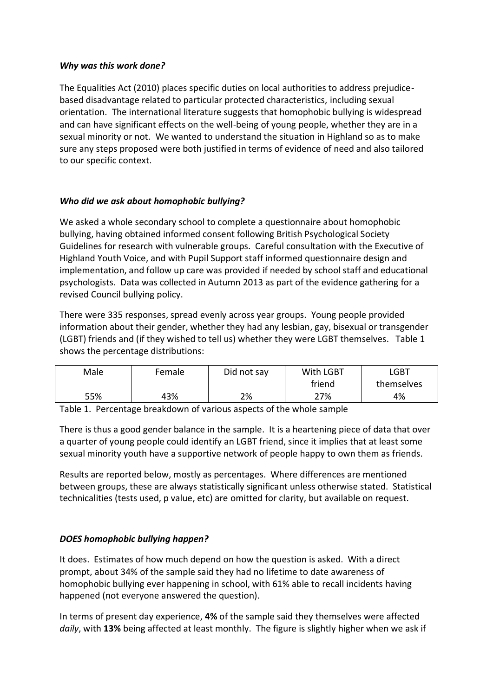#### *Why was this work done?*

The Equalities Act (2010) places specific duties on local authorities to address prejudicebased disadvantage related to particular protected characteristics, including sexual orientation. The international literature suggests that homophobic bullying is widespread and can have significant effects on the well-being of young people, whether they are in a sexual minority or not. We wanted to understand the situation in Highland so as to make sure any steps proposed were both justified in terms of evidence of need and also tailored to our specific context.

# *Who did we ask about homophobic bullying?*

We asked a whole secondary school to complete a questionnaire about homophobic bullying, having obtained informed consent following British Psychological Society Guidelines for research with vulnerable groups. Careful consultation with the Executive of Highland Youth Voice, and with Pupil Support staff informed questionnaire design and implementation, and follow up care was provided if needed by school staff and educational psychologists. Data was collected in Autumn 2013 as part of the evidence gathering for a revised Council bullying policy.

There were 335 responses, spread evenly across year groups. Young people provided information about their gender, whether they had any lesbian, gay, bisexual or transgender (LGBT) friends and (if they wished to tell us) whether they were LGBT themselves. Table 1 shows the percentage distributions:

| Male | Female | Did not say | With LGBT | <b>LGBT</b> |  |
|------|--------|-------------|-----------|-------------|--|
|      |        |             | friend    | themselves  |  |
| 55%  | 43%    | 2%          | 27%       | 4%          |  |

Table 1. Percentage breakdown of various aspects of the whole sample

There is thus a good gender balance in the sample. It is a heartening piece of data that over a quarter of young people could identify an LGBT friend, since it implies that at least some sexual minority youth have a supportive network of people happy to own them as friends.

Results are reported below, mostly as percentages. Where differences are mentioned between groups, these are always statistically significant unless otherwise stated. Statistical technicalities (tests used, p value, etc) are omitted for clarity, but available on request.

# *DOES homophobic bullying happen?*

It does. Estimates of how much depend on how the question is asked. With a direct prompt, about 34% of the sample said they had no lifetime to date awareness of homophobic bullying ever happening in school, with 61% able to recall incidents having happened (not everyone answered the question).

In terms of present day experience, **4%** of the sample said they themselves were affected *daily*, with **13%** being affected at least monthly. The figure is slightly higher when we ask if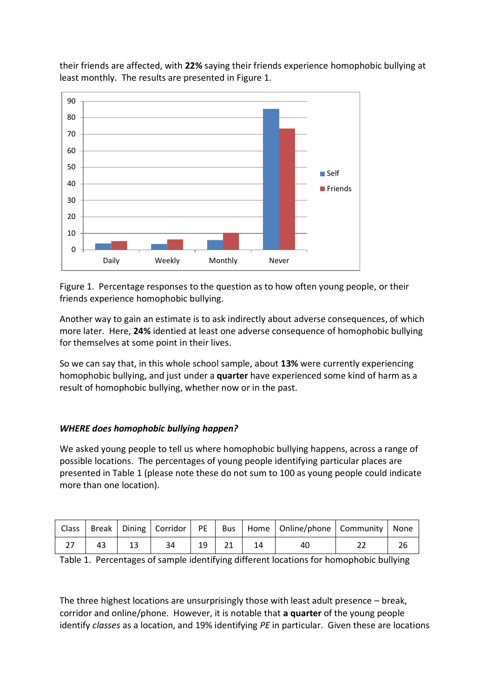



Figure 1. Percentage responses to the question as to how often young people, or their friends experience homophobic bullying.

Another way to gain an estimate is to ask indirectly about adverse consequences, of which more later. Here, **24%** identied at least one adverse consequence of homophobic bullying for themselves at some point in their lives.

So we can say that, in this whole school sample, about **13%** were currently experiencing homophobic bullying, and just under a **quarter** have experienced some kind of harm as a result of homophobic bullying, whether now or in the past.

# *WHERE does homophobic bullying happen?*

We asked young people to tell us where homophobic bullying happens, across a range of possible locations. The percentages of young people identifying particular places are presented in Table 1 (please note these do not sum to 100 as young people could indicate more than one location).

|    |    |    |         | Class   Break   Dining   Corridor   PE   Bus   Home   Online/phone   Community   None |  |
|----|----|----|---------|---------------------------------------------------------------------------------------|--|
| 43 | 13 | 34 | $19$ 21 | 40                                                                                    |  |

Table 1. Percentages of sample identifying different locations for homophobic bullying

The three highest locations are unsurprisingly those with least adult presence – break, corridor and online/phone. However, it is notable that **a quarter** of the young people identify *classes* as a location, and 19% identifying *PE* in particular. Given these are locations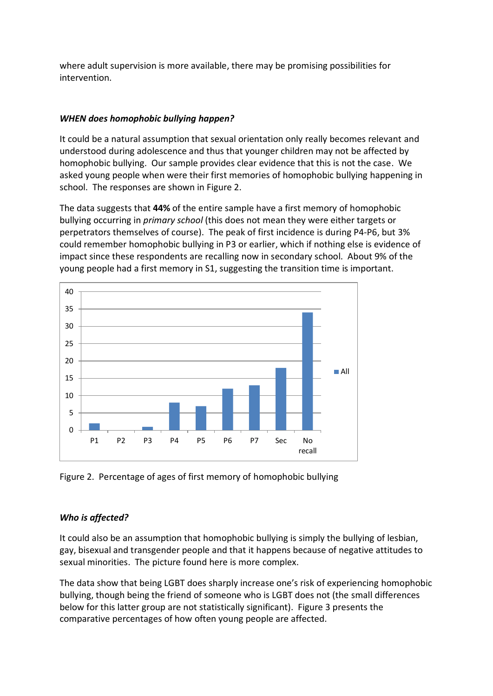where adult supervision is more available, there may be promising possibilities for intervention.

# *WHEN does homophobic bullying happen?*

It could be a natural assumption that sexual orientation only really becomes relevant and understood during adolescence and thus that younger children may not be affected by homophobic bullying. Our sample provides clear evidence that this is not the case. We asked young people when were their first memories of homophobic bullying happening in school. The responses are shown in Figure 2.

The data suggests that **44%** of the entire sample have a first memory of homophobic bullying occurring in *primary school* (this does not mean they were either targets or perpetrators themselves of course). The peak of first incidence is during P4-P6, but 3% could remember homophobic bullying in P3 or earlier, which if nothing else is evidence of impact since these respondents are recalling now in secondary school. About 9% of the young people had a first memory in S1, suggesting the transition time is important.



Figure 2. Percentage of ages of first memory of homophobic bullying

# *Who is affected?*

It could also be an assumption that homophobic bullying is simply the bullying of lesbian, gay, bisexual and transgender people and that it happens because of negative attitudes to sexual minorities. The picture found here is more complex.

The data show that being LGBT does sharply increase one's risk of experiencing homophobic bullying, though being the friend of someone who is LGBT does not (the small differences below for this latter group are not statistically significant). Figure 3 presents the comparative percentages of how often young people are affected.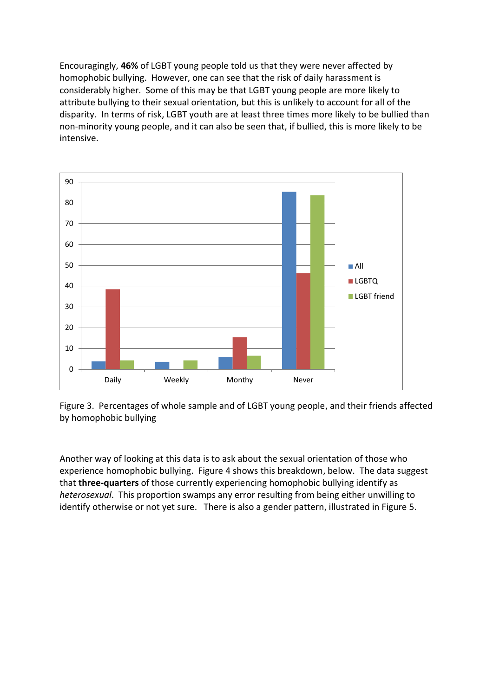Encouragingly, **46%** of LGBT young people told us that they were never affected by homophobic bullying. However, one can see that the risk of daily harassment is considerably higher. Some of this may be that LGBT young people are more likely to attribute bullying to their sexual orientation, but this is unlikely to account for all of the disparity. In terms of risk, LGBT youth are at least three times more likely to be bullied than non-minority young people, and it can also be seen that, if bullied, this is more likely to be intensive.



Figure 3. Percentages of whole sample and of LGBT young people, and their friends affected by homophobic bullying

Another way of looking at this data is to ask about the sexual orientation of those who experience homophobic bullying. Figure 4 shows this breakdown, below. The data suggest that **three-quarters** of those currently experiencing homophobic bullying identify as *heterosexual*. This proportion swamps any error resulting from being either unwilling to identify otherwise or not yet sure. There is also a gender pattern, illustrated in Figure 5.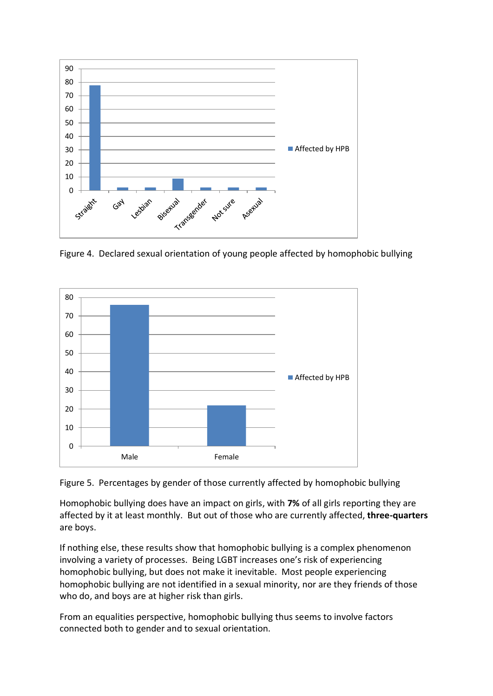

Figure 4. Declared sexual orientation of young people affected by homophobic bullying





Homophobic bullying does have an impact on girls, with **7%** of all girls reporting they are affected by it at least monthly. But out of those who are currently affected, **three-quarters** are boys.

If nothing else, these results show that homophobic bullying is a complex phenomenon involving a variety of processes. Being LGBT increases one's risk of experiencing homophobic bullying, but does not make it inevitable. Most people experiencing homophobic bullying are not identified in a sexual minority, nor are they friends of those who do, and boys are at higher risk than girls.

From an equalities perspective, homophobic bullying thus seems to involve factors connected both to gender and to sexual orientation.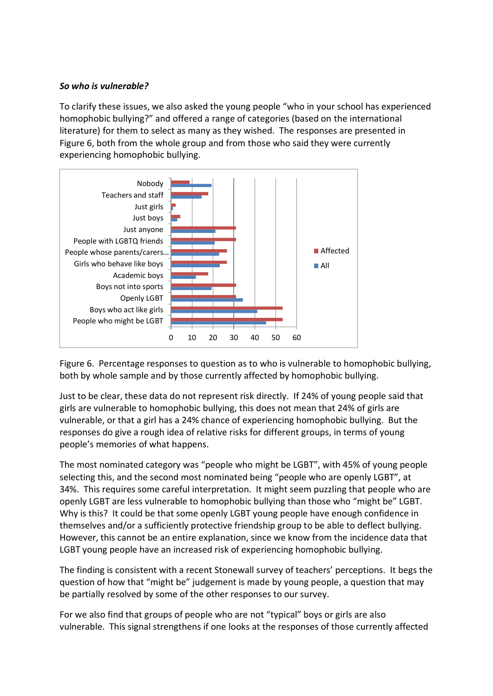#### *So who is vulnerable?*

To clarify these issues, we also asked the young people "who in your school has experienced homophobic bullying?" and offered a range of categories (based on the international literature) for them to select as many as they wished. The responses are presented in Figure 6, both from the whole group and from those who said they were currently experiencing homophobic bullying.



Figure 6. Percentage responses to question as to who is vulnerable to homophobic bullying, both by whole sample and by those currently affected by homophobic bullying.

Just to be clear, these data do not represent risk directly. If 24% of young people said that girls are vulnerable to homophobic bullying, this does not mean that 24% of girls are vulnerable, or that a girl has a 24% chance of experiencing homophobic bullying. But the responses do give a rough idea of relative risks for different groups, in terms of young people's memories of what happens.

The most nominated category was "people who might be LGBT", with 45% of young people selecting this, and the second most nominated being "people who are openly LGBT", at 34%. This requires some careful interpretation. It might seem puzzling that people who are openly LGBT are less vulnerable to homophobic bullying than those who "might be" LGBT. Why is this? It could be that some openly LGBT young people have enough confidence in themselves and/or a sufficiently protective friendship group to be able to deflect bullying. However, this cannot be an entire explanation, since we know from the incidence data that LGBT young people have an increased risk of experiencing homophobic bullying.

The finding is consistent with a recent Stonewall survey of teachers' perceptions. It begs the question of how that "might be" judgement is made by young people, a question that may be partially resolved by some of the other responses to our survey.

For we also find that groups of people who are not "typical" boys or girls are also vulnerable. This signal strengthens if one looks at the responses of those currently affected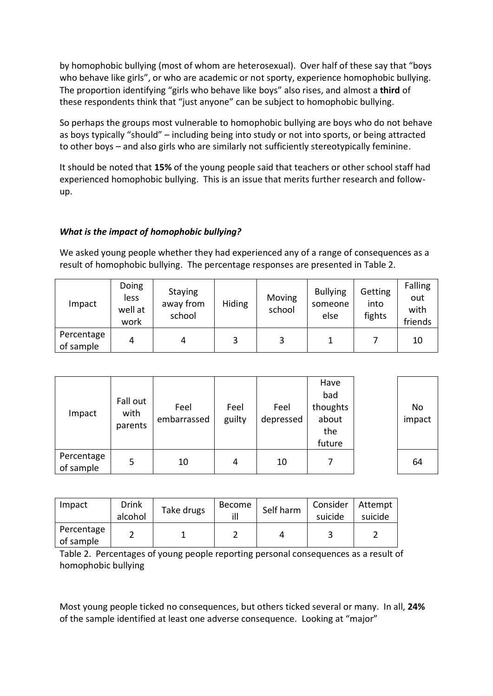by homophobic bullying (most of whom are heterosexual). Over half of these say that "boys who behave like girls", or who are academic or not sporty, experience homophobic bullying. The proportion identifying "girls who behave like boys" also rises, and almost a **third** of these respondents think that "just anyone" can be subject to homophobic bullying.

So perhaps the groups most vulnerable to homophobic bullying are boys who do not behave as boys typically "should" – including being into study or not into sports, or being attracted to other boys – and also girls who are similarly not sufficiently stereotypically feminine.

It should be noted that **15%** of the young people said that teachers or other school staff had experienced homophobic bullying. This is an issue that merits further research and followup.

# *What is the impact of homophobic bullying?*

We asked young people whether they had experienced any of a range of consequences as a result of homophobic bullying. The percentage responses are presented in Table 2.

| Impact                  | Doing<br>less<br>well at<br>work | <b>Staying</b><br>away from<br>school | Hiding | Moving<br>school | <b>Bullying</b><br>someone<br>else | <b>Getting</b><br>into<br>fights | Falling<br>out<br>with<br>friends |
|-------------------------|----------------------------------|---------------------------------------|--------|------------------|------------------------------------|----------------------------------|-----------------------------------|
| Percentage<br>of sample | 4                                |                                       |        | 3                |                                    |                                  | 10                                |

| Impact                  | Fall out<br>with<br>parents | Feel<br>embarrassed | Feel<br>guilty | Feel<br>depressed | Have<br>bad<br>thoughts<br>about<br>the<br>future | No<br>impact |
|-------------------------|-----------------------------|---------------------|----------------|-------------------|---------------------------------------------------|--------------|
| Percentage<br>of sample | 5                           | 10                  | 4              | 10                | 7                                                 | 64           |

| Impact                  | <b>Drink</b><br>alcohol | Take drugs | Become | Self harm | Consider<br>suicide | Attempt<br>suicide |
|-------------------------|-------------------------|------------|--------|-----------|---------------------|--------------------|
| Percentage<br>of sample |                         |            |        |           |                     |                    |

Table 2. Percentages of young people reporting personal consequences as a result of homophobic bullying

Most young people ticked no consequences, but others ticked several or many. In all, **24%** of the sample identified at least one adverse consequence. Looking at "major"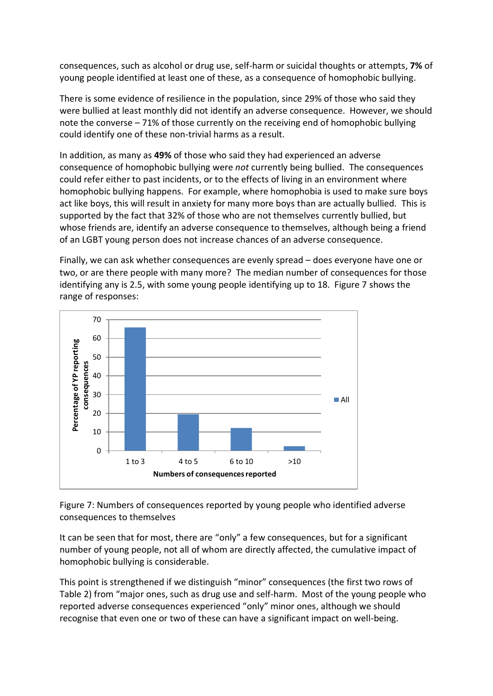consequences, such as alcohol or drug use, self-harm or suicidal thoughts or attempts, **7%** of young people identified at least one of these, as a consequence of homophobic bullying.

There is some evidence of resilience in the population, since 29% of those who said they were bullied at least monthly did not identify an adverse consequence. However, we should note the converse – 71% of those currently on the receiving end of homophobic bullying could identify one of these non-trivial harms as a result.

In addition, as many as **49%** of those who said they had experienced an adverse consequence of homophobic bullying were *not* currently being bullied. The consequences could refer either to past incidents, or to the effects of living in an environment where homophobic bullying happens. For example, where homophobia is used to make sure boys act like boys, this will result in anxiety for many more boys than are actually bullied. This is supported by the fact that 32% of those who are not themselves currently bullied, but whose friends are, identify an adverse consequence to themselves, although being a friend of an LGBT young person does not increase chances of an adverse consequence.

Finally, we can ask whether consequences are evenly spread – does everyone have one or two, or are there people with many more? The median number of consequences for those identifying any is 2.5, with some young people identifying up to 18. Figure 7 shows the range of responses:



Figure 7: Numbers of consequences reported by young people who identified adverse consequences to themselves

It can be seen that for most, there are "only" a few consequences, but for a significant number of young people, not all of whom are directly affected, the cumulative impact of homophobic bullying is considerable.

This point is strengthened if we distinguish "minor" consequences (the first two rows of Table 2) from "major ones, such as drug use and self-harm. Most of the young people who reported adverse consequences experienced "only" minor ones, although we should recognise that even one or two of these can have a significant impact on well-being.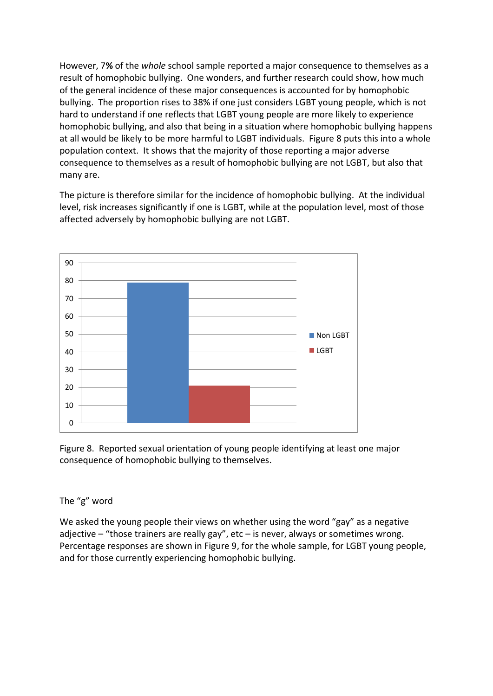However, 7**%** of the *whole* school sample reported a major consequence to themselves as a result of homophobic bullying. One wonders, and further research could show, how much of the general incidence of these major consequences is accounted for by homophobic bullying. The proportion rises to 38% if one just considers LGBT young people, which is not hard to understand if one reflects that LGBT young people are more likely to experience homophobic bullying, and also that being in a situation where homophobic bullying happens at all would be likely to be more harmful to LGBT individuals. Figure 8 puts this into a whole population context. It shows that the majority of those reporting a major adverse consequence to themselves as a result of homophobic bullying are not LGBT, but also that many are.

The picture is therefore similar for the incidence of homophobic bullying. At the individual level, risk increases significantly if one is LGBT, while at the population level, most of those affected adversely by homophobic bullying are not LGBT.



Figure 8. Reported sexual orientation of young people identifying at least one major consequence of homophobic bullying to themselves.

#### The "g" word

We asked the young people their views on whether using the word "gay" as a negative adjective – "those trainers are really gay", etc – is never, always or sometimes wrong. Percentage responses are shown in Figure 9, for the whole sample, for LGBT young people, and for those currently experiencing homophobic bullying.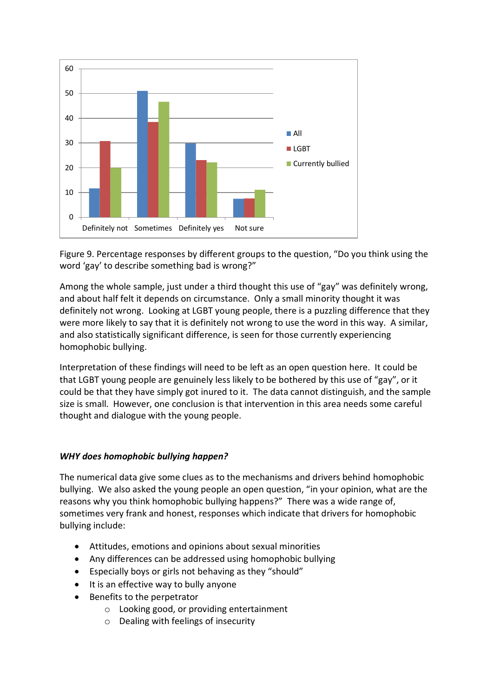

Figure 9. Percentage responses by different groups to the question, "Do you think using the word 'gay' to describe something bad is wrong?"

Among the whole sample, just under a third thought this use of "gay" was definitely wrong, and about half felt it depends on circumstance. Only a small minority thought it was definitely not wrong. Looking at LGBT young people, there is a puzzling difference that they were more likely to say that it is definitely not wrong to use the word in this way. A similar, and also statistically significant difference, is seen for those currently experiencing homophobic bullying.

Interpretation of these findings will need to be left as an open question here. It could be that LGBT young people are genuinely less likely to be bothered by this use of "gay", or it could be that they have simply got inured to it. The data cannot distinguish, and the sample size is small. However, one conclusion is that intervention in this area needs some careful thought and dialogue with the young people.

# *WHY does homophobic bullying happen?*

The numerical data give some clues as to the mechanisms and drivers behind homophobic bullying. We also asked the young people an open question, "in your opinion, what are the reasons why you think homophobic bullying happens?" There was a wide range of, sometimes very frank and honest, responses which indicate that drivers for homophobic bullying include:

- Attitudes, emotions and opinions about sexual minorities
- Any differences can be addressed using homophobic bullying
- Especially boys or girls not behaving as they "should"
- It is an effective way to bully anyone
- Benefits to the perpetrator
	- o Looking good, or providing entertainment
	- o Dealing with feelings of insecurity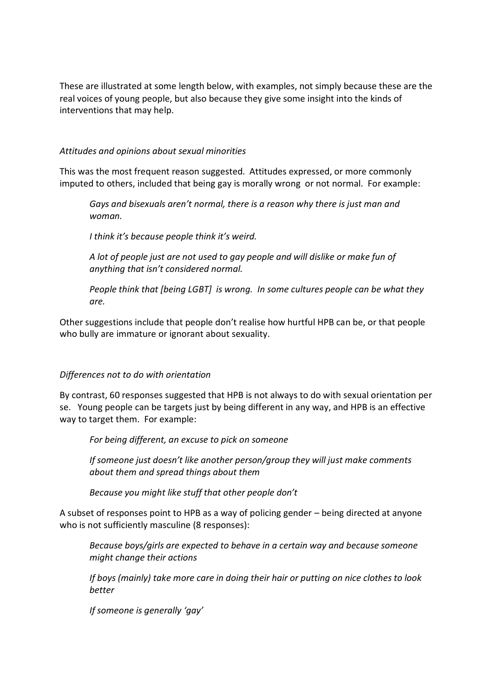These are illustrated at some length below, with examples, not simply because these are the real voices of young people, but also because they give some insight into the kinds of interventions that may help.

#### *Attitudes and opinions about sexual minorities*

This was the most frequent reason suggested. Attitudes expressed, or more commonly imputed to others, included that being gay is morally wrong or not normal. For example:

*Gays and bisexuals aren't normal, there is a reason why there is just man and woman.*

*I think it's because people think it's weird.*

*A lot of people just are not used to gay people and will dislike or make fun of anything that isn't considered normal.*

*People think that [being LGBT] is wrong. In some cultures people can be what they are.*

Other suggestions include that people don't realise how hurtful HPB can be, or that people who bully are immature or ignorant about sexuality.

# *Differences not to do with orientation*

By contrast, 60 responses suggested that HPB is not always to do with sexual orientation per se. Young people can be targets just by being different in any way, and HPB is an effective way to target them. For example:

*For being different, an excuse to pick on someone*

*If someone just doesn't like another person/group they will just make comments about them and spread things about them*

*Because you might like stuff that other people don't*

A subset of responses point to HPB as a way of policing gender – being directed at anyone who is not sufficiently masculine (8 responses):

*Because boys/girls are expected to behave in a certain way and because someone might change their actions*

*If boys (mainly) take more care in doing their hair or putting on nice clothes to look better*

*If someone is generally 'gay'*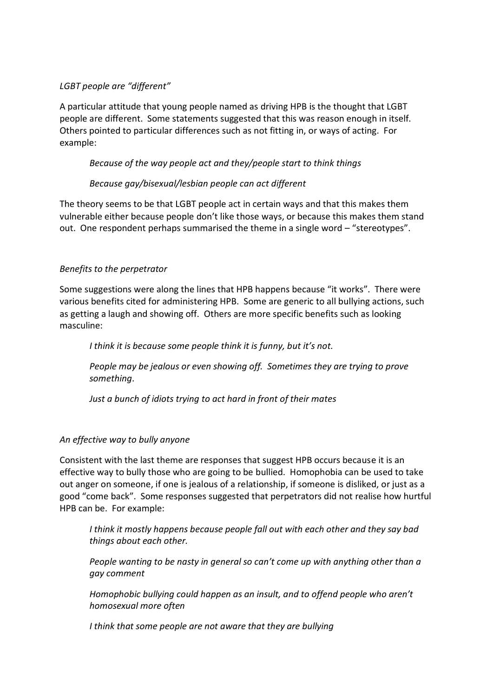# *LGBT people are "different"*

A particular attitude that young people named as driving HPB is the thought that LGBT people are different. Some statements suggested that this was reason enough in itself. Others pointed to particular differences such as not fitting in, or ways of acting. For example:

#### *Because of the way people act and they/people start to think things*

#### *Because gay/bisexual/lesbian people can act different*

The theory seems to be that LGBT people act in certain ways and that this makes them vulnerable either because people don't like those ways, or because this makes them stand out. One respondent perhaps summarised the theme in a single word – "stereotypes".

#### *Benefits to the perpetrator*

Some suggestions were along the lines that HPB happens because "it works". There were various benefits cited for administering HPB. Some are generic to all bullying actions, such as getting a laugh and showing off. Others are more specific benefits such as looking masculine:

*I think it is because some people think it is funny, but it's not.*

*People may be jealous or even showing off. Sometimes they are trying to prove something*.

*Just a bunch of idiots trying to act hard in front of their mates*

#### *An effective way to bully anyone*

Consistent with the last theme are responses that suggest HPB occurs because it is an effective way to bully those who are going to be bullied. Homophobia can be used to take out anger on someone, if one is jealous of a relationship, if someone is disliked, or just as a good "come back". Some responses suggested that perpetrators did not realise how hurtful HPB can be. For example:

*I think it mostly happens because people fall out with each other and they say bad things about each other.*

*People wanting to be nasty in general so can't come up with anything other than a gay comment*

*Homophobic bullying could happen as an insult, and to offend people who aren't homosexual more often*

*I think that some people are not aware that they are bullying*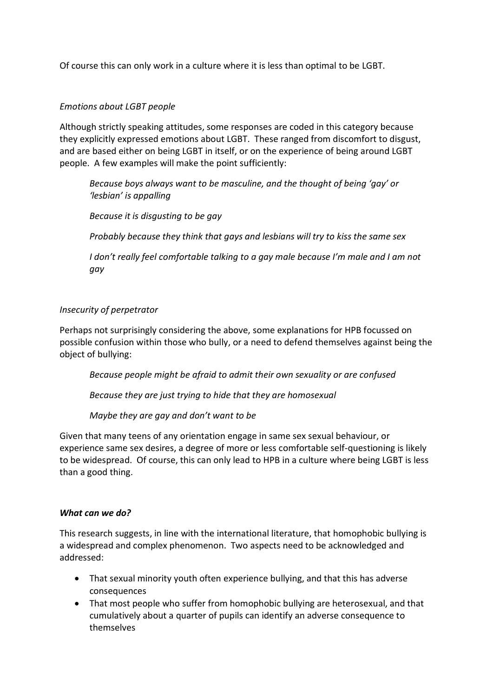Of course this can only work in a culture where it is less than optimal to be LGBT.

# *Emotions about LGBT people*

Although strictly speaking attitudes, some responses are coded in this category because they explicitly expressed emotions about LGBT. These ranged from discomfort to disgust, and are based either on being LGBT in itself, or on the experience of being around LGBT people. A few examples will make the point sufficiently:

*Because boys always want to be masculine, and the thought of being 'gay' or 'lesbian' is appalling*

*Because it is disgusting to be gay*

*Probably because they think that gays and lesbians will try to kiss the same sex*

*I don't really feel comfortable talking to a gay male because I'm male and I am not gay*

# *Insecurity of perpetrator*

Perhaps not surprisingly considering the above, some explanations for HPB focussed on possible confusion within those who bully, or a need to defend themselves against being the object of bullying:

*Because people might be afraid to admit their own sexuality or are confused*

*Because they are just trying to hide that they are homosexual*

*Maybe they are gay and don't want to be*

Given that many teens of any orientation engage in same sex sexual behaviour, or experience same sex desires, a degree of more or less comfortable self-questioning is likely to be widespread. Of course, this can only lead to HPB in a culture where being LGBT is less than a good thing.

#### *What can we do?*

This research suggests, in line with the international literature, that homophobic bullying is a widespread and complex phenomenon. Two aspects need to be acknowledged and addressed:

- That sexual minority youth often experience bullying, and that this has adverse consequences
- That most people who suffer from homophobic bullying are heterosexual, and that cumulatively about a quarter of pupils can identify an adverse consequence to themselves